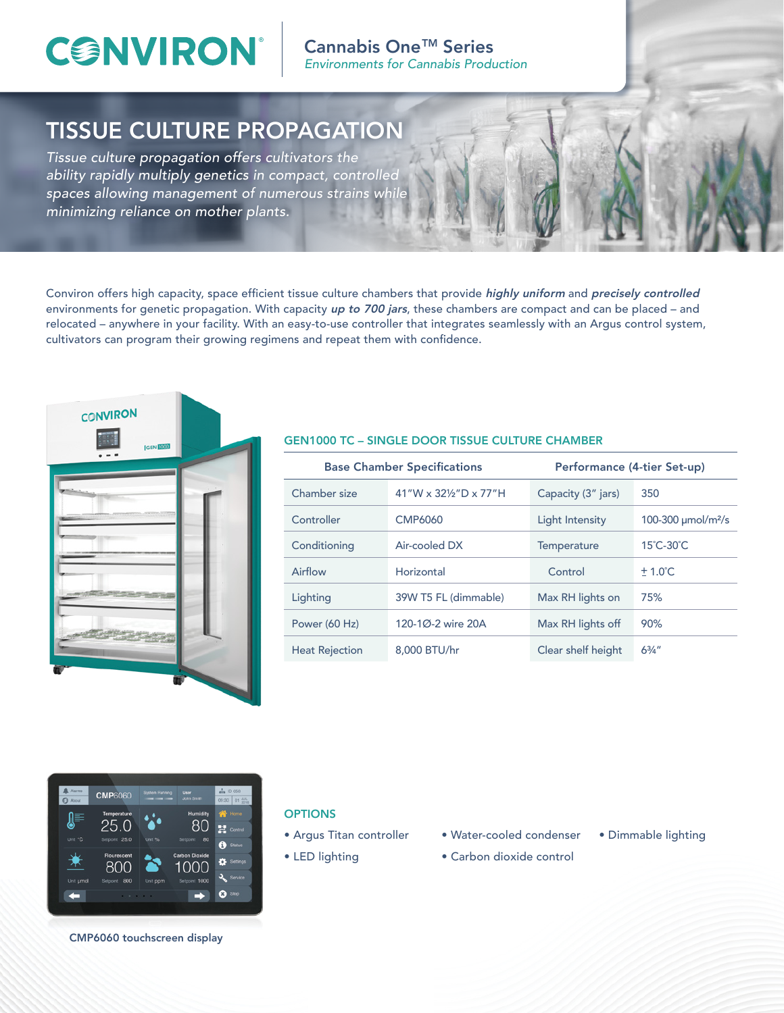## **CONVIRON**

Cannabis One<sup>™</sup> Series *Environments for Cannabis Production*

## TISSUE CULTURE PROPAGATION

*Tissue culture propagation offers cultivators the ability rapidly multiply genetics in compact, controlled spaces allowing management of numerous strains while minimizing reliance on mother plants.*

Conviron offers high capacity, space efficient tissue culture chambers that provide highly uniform and precisely controlled environments for genetic propagation. With capacity up to 700 jars, these chambers are compact and can be placed – and relocated – anywhere in your facility. With an easy-to-use controller that integrates seamlessly with an Argus control system, cultivators can program their growing regimens and repeat them with confidence.



#### GEN1000 TC – SINGLE DOOR TISSUE CULTURE CHAMBER

| <b>Base Chamber Specifications</b> |                       | Performance (4-tier Set-up) |                                     |
|------------------------------------|-----------------------|-----------------------------|-------------------------------------|
| Chamber size                       | 41"W x 321/2"D x 77"H | Capacity (3" jars)          | 350                                 |
| Controller                         | CMP6060               | Light Intensity             | 100-300 $\mu$ mol/m <sup>2</sup> /s |
| Conditioning                       | Air-cooled DX         | Temperature                 | 15°C-30°C                           |
| Airflow                            | Horizontal            | Control                     | $+1.0^{\circ}$ C                    |
| Lighting                           | 39W T5 FL (dimmable)  | Max RH lights on            | 75%                                 |
| Power (60 Hz)                      | 120-1Ø-2 wire 20A     | Max RH lights off           | 90%                                 |
| <b>Heat Rejection</b>              | 8,000 BTU/hr          | Clear shelf height          | $6^{3}/4''$                         |



#### **OPTIONS**

- Argus Titan controller
- LED lighting
- Water-cooled condenser
- Dimmable lighting
- Carbon dioxide control

CMP6060 touchscreen display